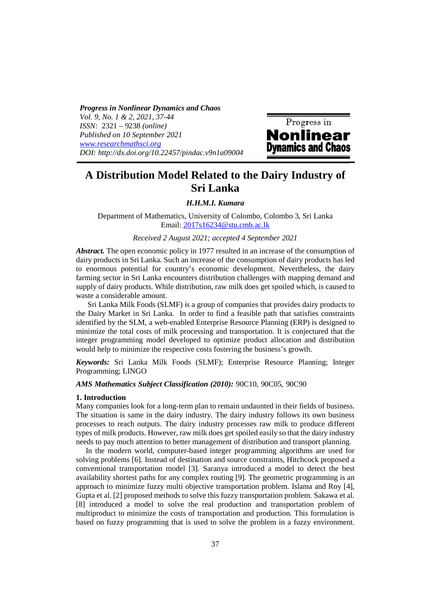*Progress in Nonlinear Dynamics and Chaos Vol. 9, No. 1 & 2, 2021, 37-44 ISSN:* 2321 – 9238 *(online) Published on 10 September 2021 www.researchmathsci.org DOI: http://dx.doi.org/10.22457/pindac.v9n1a09004*



# **A Distribution Model Related to the Dairy Industry of Sri Lanka**

 *H.H.M.I. Kumara* 

Department of Mathematics, University of Colombo, Colombo 3, Sri Lanka Email: 2017s16234@stu.cmb.ac.lk

### *Received 2 August 2021; accepted 4 September 2021*

*Abstract.* The open economic policy in 1977 resulted in an increase of the consumption of dairy products in Sri Lanka. Such an increase of the consumption of dairy products has led to enormous potential for country's economic development. Nevertheless, the dairy farming sector in Sri Lanka encounters distribution challenges with mapping demand and supply of dairy products. While distribution, raw milk does get spoiled which, is caused to waste a considerable amount.

 Sri Lanka Milk Foods (SLMF) is a group of companies that provides dairy products to the Dairy Market in Sri Lanka. In order to find a feasible path that satisfies constraints identified by the SLM, a web-enabled Enterprise Resource Planning (ERP) is designed to minimize the total costs of milk processing and transportation. It is conjectured that the integer programming model developed to optimize product allocation and distribution would help to minimize the respective costs fostering the business's growth.

*Keywords:* Sri Lanka Milk Foods (SLMF); Enterprise Resource Planning; Integer Programming; LINGO

*AMS Mathematics Subject Classification (2010):* 90C10, 90C05, 90C90

#### **1. Introduction**

Many companies look for a long-term plan to remain undaunted in their fields of business. The situation is same in the dairy industry. The dairy industry follows its own business processes to reach outputs. The dairy industry processes raw milk to produce different types of milk products. However, raw milk does get spoiled easily so that the dairy industry needs to pay much attention to better management of distribution and transport planning.

 In the modern world, computer-based integer programming algorithms are used for solving problems [6]. Instead of destination and source constraints, Hitchcock proposed a conventional transportation model [3]. Saranya introduced a model to detect the best availability shortest paths for any complex routing [9]. The geometric programming is an approach to minimize fuzzy multi objective transportation problem. Islama and Roy [4], Gupta et al. [2] proposed methods to solve this fuzzy transportation problem. Sakawa et al. [8] introduced a model to solve the real production and transportation problem of multiproduct to minimize the costs of transportation and production. This formulation is based on fuzzy programming that is used to solve the problem in a fuzzy environment.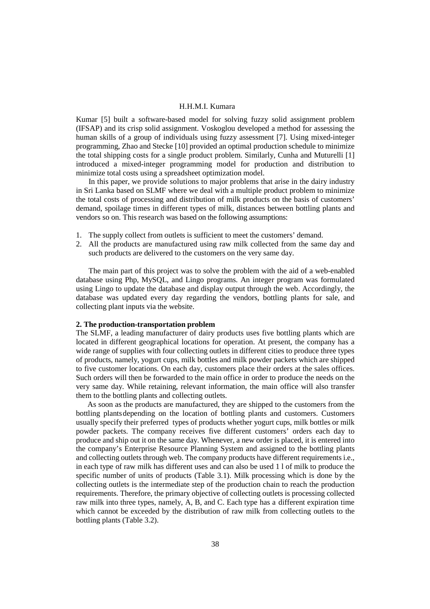Kumar [5] built a software-based model for solving fuzzy solid assignment problem (IFSAP) and its crisp solid assignment. Voskoglou developed a method for assessing the human skills of a group of individuals using fuzzy assessment [7]. Using mixed-integer programming, Zhao and Stecke [10] provided an optimal production schedule to minimize the total shipping costs for a single product problem. Similarly, Cunha and Muturelli [1] introduced a mixed-integer programming model for production and distribution to minimize total costs using a spreadsheet optimization model.

In this paper, we provide solutions to major problems that arise in the dairy industry in Sri Lanka based on SLMF where we deal with a multiple product problem to minimize the total costs of processing and distribution of milk products on the basis of customers' demand, spoilage times in different types of milk, distances between bottling plants and vendors so on. This research was based on the following assumptions:

- 1. The supply collect from outlets is sufficient to meet the customers' demand.
- 2. All the products are manufactured using raw milk collected from the same day and such products are delivered to the customers on the very same day.

The main part of this project was to solve the problem with the aid of a web-enabled database using Php, MySQL, and Lingo programs. An integer program was formulated using Lingo to update the database and display output through the web. Accordingly, the database was updated every day regarding the vendors, bottling plants for sale, and collecting plant inputs via the website.

### **2. The production-transportation problem**

The SLMF, a leading manufacturer of dairy products uses five bottling plants which are located in different geographical locations for operation. At present, the company has a wide range of supplies with four collecting outlets in different cities to produce three types of products, namely, yogurt cups, milk bottles and milk powder packets which are shipped to five customer locations. On each day, customers place their orders at the sales offices. Such orders will then be forwarded to the main office in order to produce the needs on the very same day. While retaining, relevant information, the main office will also transfer them to the bottling plants and collecting outlets.

 As soon as the products are manufactured, they are shipped to the customers from the bottling plants depending on the location of bottling plants and customers. Customers usually specify their preferred types of products whether yogurt cups, milk bottles or milk powder packets. The company receives five different customers' orders each day to produce and ship out it on the same day. Whenever, a new order is placed, it is entered into the company's Enterprise Resource Planning System and assigned to the bottling plants and collecting outlets through web. The company products have different requirements i.e., in each type of raw milk has different uses and can also be used 1 l of milk to produce the specific number of units of products (Table 3.1). Milk processing which is done by the collecting outlets is the intermediate step of the production chain to reach the production requirements. Therefore, the primary objective of collecting outlets is processing collected raw milk into three types, namely, A, B, and C. Each type has a different expiration time which cannot be exceeded by the distribution of raw milk from collecting outlets to the bottling plants (Table 3.2).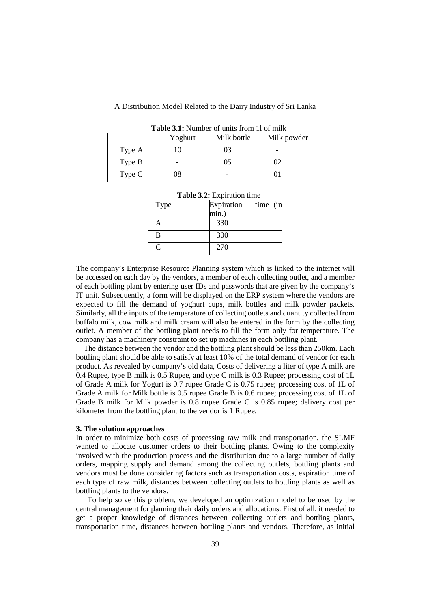# A Distribution Model Related to the Dairy Industry of Sri Lanka

| A WMAV VIAI I WIIIOVI OI WIIIW IIOIII II OI IIIIII |         |             |             |  |  |
|----------------------------------------------------|---------|-------------|-------------|--|--|
|                                                    | Yoghurt | Milk bottle | Milk powder |  |  |
| Type A                                             |         | 03          |             |  |  |
| Type B                                             |         | 05          |             |  |  |
| Type C                                             | 08      |             |             |  |  |

**Table 3.1:** Number of units from 1l of milk

| Table 3.2: Expiration time |                     |  |  |  |
|----------------------------|---------------------|--|--|--|
| Type                       | Expiration time (in |  |  |  |
|                            | min.)               |  |  |  |
|                            | 330                 |  |  |  |
| B                          | 300                 |  |  |  |
| $\mathsf{\Gamma}$          | 270                 |  |  |  |

The company's Enterprise Resource Planning system which is linked to the internet will be accessed on each day by the vendors, a member of each collecting outlet, and a member of each bottling plant by entering user IDs and passwords that are given by the company's IT unit. Subsequently, a form will be displayed on the ERP system where the vendors are expected to fill the demand of yoghurt cups, milk bottles and milk powder packets. Similarly, all the inputs of the temperature of collecting outlets and quantity collected from buffalo milk, cow milk and milk cream will also be entered in the form by the collecting outlet. A member of the bottling plant needs to fill the form only for temperature. The company has a machinery constraint to set up machines in each bottling plant.

The distance between the vendor and the bottling plant should be less than 250 km. Each bottling plant should be able to satisfy at least 10% of the total demand of vendor for each product. As revealed by company's old data, Costs of delivering a liter of type A milk are 0.4 Rupee, type B milk is 0.5 Rupee, and type C milk is 0.3 Rupee; processing cost of 1L of Grade A milk for Yogurt is 0.7 rupee Grade C is 0.75 rupee; processing cost of 1L of Grade A milk for Milk bottle is 0.5 rupee Grade B is 0.6 rupee; processing cost of 1L of Grade B milk for Milk powder is 0.8 rupee Grade C is 0.85 rupee; delivery cost per kilometer from the bottling plant to the vendor is 1 Rupee.

#### **3. The solution approaches**

In order to minimize both costs of processing raw milk and transportation, the SLMF wanted to allocate customer orders to their bottling plants. Owing to the complexity involved with the production process and the distribution due to a large number of daily orders, mapping supply and demand among the collecting outlets, bottling plants and vendors must be done considering factors such as transportation costs, expiration time of each type of raw milk, distances between collecting outlets to bottling plants as well as bottling plants to the vendors.

 To help solve this problem, we developed an optimization model to be used by the central management for planning their daily orders and allocations. First of all, it needed to get a proper knowledge of distances between collecting outlets and bottling plants, transportation time, distances between bottling plants and vendors. Therefore, as initial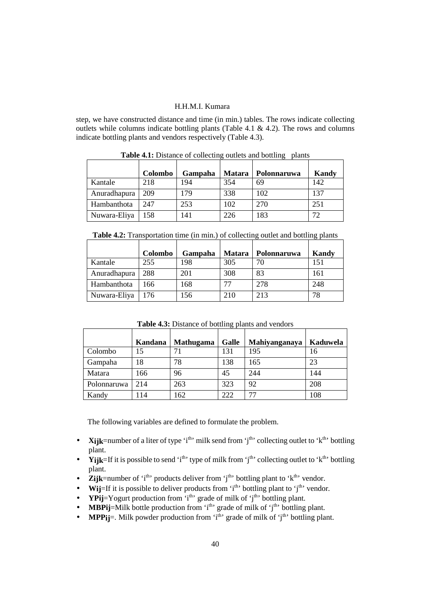step, we have constructed distance and time (in min.) tables. The rows indicate collecting outlets while columns indicate bottling plants (Table 4.1 & 4.2). The rows and columns indicate bottling plants and vendors respectively (Table 4.3).

|              | Colombo | Gampaha | <b>Matara</b> | Polonnaruwa | Kandy |
|--------------|---------|---------|---------------|-------------|-------|
| Kantale      | 218     | 194     | 354           | 69          | 142   |
| Anuradhapura | 209     | 179     | 338           | 102         | 137   |
| Hambanthota  | 247     | 253     | 102           | 270         | 251   |
| Nuwara-Eliya | 158     | 141     | 226           | 183         | 72    |

**Table 4.1:** Distance of collecting outlets and bottling plants

|  |  | Table 4.2: Transportation time (in min.) of collecting outlet and bottling plants |  |
|--|--|-----------------------------------------------------------------------------------|--|
|  |  |                                                                                   |  |

|              |         |         |        | <b>Thore</b> was Transportation thro (in him.) or concernig outlet and cotting plants |       |
|--------------|---------|---------|--------|---------------------------------------------------------------------------------------|-------|
|              | Colombo | Gampaha | Matara | Polonnaruwa                                                                           | Kandy |
| Kantale      | 255     | 198     | 305    | 70                                                                                    | 151   |
| Anuradhapura | 288     | 201     | 308    | 83                                                                                    | 161   |
| Hambanthota  | 166     | 168     |        | 278                                                                                   | 248   |
| Nuwara-Eliya | 176     | 156     | 210    | 213                                                                                   | 78    |

**Table 4.3:** Distance of bottling plants and vendors

|             | Kandana | <b>Mathugama</b> | Galle | Mahiyanganaya | Kaduwela |
|-------------|---------|------------------|-------|---------------|----------|
| Colombo     | 15      | 71               | 131   | 195           | 16       |
| Gampaha     | 18      | 78               | 138   | 165           | 23       |
| Matara      | 166     | 96               | 45    | 244           | 144      |
| Polonnaruwa | 214     | 263              | 323   | 92            | 208      |
| Kandy       | 114     | 162              | 222   | 77            | 108      |

The following variables are defined to formulate the problem.

- **Xijk**=number of a liter of type 'i<sup>th</sup>' milk send from 'i<sup>th</sup>' collecting outlet to 'k<sup>th</sup>' bottling plant.
- **Yijk**=If it is possible to send 'i<sup>th</sup>' type of milk from 'i<sup>th</sup>' collecting outlet to 'k<sup>th</sup>' bottling plant.
- **Zijk**=number of 'i<sup>th</sup>' products deliver from 'j<sup>th</sup>' bottling plant to 'k<sup>th</sup>' vendor.
- **Wij**=If it is possible to deliver products from  $i<sup>th</sup>$  bottling plant to  $i<sup>th</sup>$  vendor.
- **YPij**=Yogurt production from  $i<sup>th</sup>$  grade of milk of  $j<sup>th</sup>$  bottling plant.
- **MBPij**=Milk bottle production from  $i<sup>th</sup>$  grade of milk of  $j<sup>th</sup>$  bottling plant.
- **MPP** $\mathbf{i}$  = Milk powder production from 'i<sup>th</sup>' grade of milk of 'i<sup>th</sup>' bottling plant.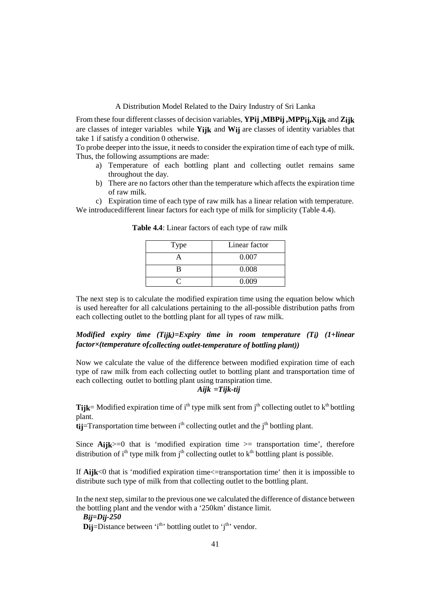### A Distribution Model Related to the Dairy Industry of Sri Lanka

From these four different classes of decision variables, **YPij ,MBPij ,MPPij,Xijk** and **Zijk**  are classes of integer variables while **Yijk** and **Wij** are classes of identity variables that take 1 if satisfy a condition 0 otherwise.

To probe deeper into the issue, it needs to consider the expiration time of each type of milk. Thus, the following assumptions are made:

- a) Temperature of each bottling plant and collecting outlet remains same throughout the day.
- b) There are no factors other than the temperature which affects the expiration time of raw milk.

c) Expiration time of each type of raw milk has a linear relation with temperature. We introduce different linear factors for each type of milk for simplicity (Table 4.4).

| <b>Type</b> | Linear factor |
|-------------|---------------|
|             | 0.007         |
|             | 0.008         |
|             | N 009         |

**Table 4.4**: Linear factors of each type of raw milk

The next step is to calculate the modified expiration time using the equation below which is used hereafter for all calculations pertaining to the all-possible distribution paths from each collecting outlet to the bottling plant for all types of raw milk.

# *Modified expiry time (Tijk)=Expiry time in room temperature (Ti) (1+linear factor×(temperature of collecting outlet-temperature of bottling plant))*

Now we calculate the value of the difference between modified expiration time of each type of raw milk from each collecting outlet to bottling plant and transportation time of each collecting outlet to bottling plant using transpiration time.

# *Aijk =Tijk-tij*

**Tijk**= Modified expiration time of i<sup>th</sup> type milk sent from j<sup>th</sup> collecting outlet to  $k<sup>th</sup>$  bottling plant.

 $\mathbf{t}$ **i** $=$ Transportation time between i<sup>th</sup> collecting outlet and the j<sup>th</sup> bottling plant.

Since  $\text{Aijk}$  =0 that is 'modified expiration time  $\text{B}$  = transportation time', therefore distribution of  $i<sup>th</sup>$  type milk from  $j<sup>th</sup>$  collecting outlet to  $k<sup>th</sup>$  bottling plant is possible.

If **Aijk**<0 that is 'modified expiration time<=transportation time' then it is impossible to distribute such type of milk from that collecting outlet to the bottling plant.

In the next step, similar to the previous one we calculated the difference of distance between the bottling plant and the vendor with a '250km' distance limit.

*Bij=Dij-250*

**Dij**=Distance between  $i<sup>th</sup>$  bottling outlet to  $i<sup>th</sup>$  vendor.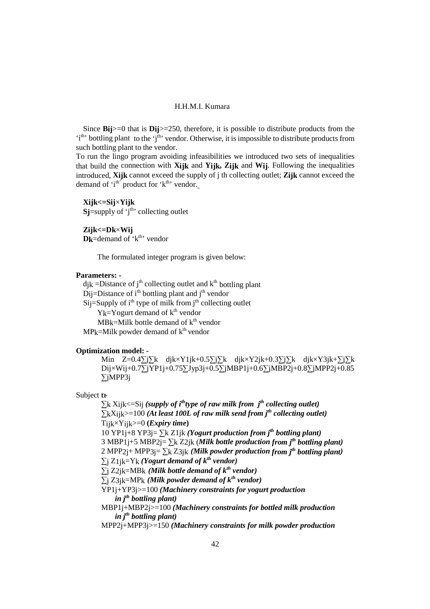Since **Bij**>=0 that is **Dij**>=250, therefore, it is possible to distribute products from the 'i<sup>th</sup>' bottling plant to the 'i<sup>th</sup>' vendor. Otherwise, it is impossible to distribute products from such bottling plant to the vendor.

To run the lingo program avoiding infeasibilities we introduced two sets of inequalities that build the connection with **Xijk** and **Yijk, Zijk** and **Wij**. Following the inequalities introduced, **Xijk** cannot exceed the supply of j th collecting outlet; **Zijk** cannot exceed the demand of  $i<sup>th</sup>$  product for  $k<sup>th</sup>$  vendor.

**Xijk<=Sij**×**Yijk**   $S_j$ =supply of  $j<sup>th</sup>$  collecting outlet

**Zijk<=Dk**×**Wij Dk**=demand of  $k^{th}$  vendor

The formulated integer program is given below:

### **Parameters: -**

 $djk = Distance of j<sup>th</sup> collecting outlet and k<sup>th</sup> bottling plant$ D<sub>ij</sub>=Distance of i<sup>th</sup> bottling plant and j<sup>th</sup> vendor  $Si$ j=Supply of i<sup>th</sup> type of milk from j<sup>th</sup> collecting outlet  $Y_k = Y$ ogurt demand of  $k<sup>th</sup>$  vendor  $MBk=$ Milk bottle demand of  $k<sup>th</sup>$  vendor  $MPk=Milk$  powder demand of  $k<sup>th</sup>$  vendor

### **Optimization model: -**

Min Z=0.4∑j∑k djk×Y1jk+0.5∑j∑k djk×Y2jk+0.3∑j∑k djk×Y3jk+∑j∑k Dij×Wij+0.7∑jYP1j+0.75∑Jyp3j+0.5∑jMBP1j+0.6∑jMBP2j+0.8∑jMPP2j+0.85 ∑jMPP3j

# Subject to:

∑k Xijk<=Sij *(supply of ithtype of raw milk from jth collecting outlet)* ∑kXijk>=100 *(At least 100L of raw milk send from jth collecting outlet)* Tijk×Yijk>=0 **(***Expiry time***)** 10 YP1j+8 YP3j= ∑k Z1jk *(Yogurt production from jth bottling plant)* 3 MBP<sub>1</sub>j+5 MBP<sub>2j</sub>=  $\sum k$  Z<sub>2jk</sub> (*Milk bottle production from j<sup>th</sup> bottling plant*) 2 MPP2j+ MPP3j= ∑k Z3jk *(Milk powder production from jth bottling plant)*   $∑<sub>i</sub> Z<sub>1</sub><sub>i</sub>**k**=Y<sub>k</sub>$  *(Yogurt demand of k<sup>th</sup> vendor)*  $∑$ <sup> $j$ </sup> Z2<sup> $j$ </sup>k=MB<sup>k</sup> *(Milk bottle demand of k<sup>th</sup> vendor)*  $\Sigma$ j Z3jk=MP<sub>k</sub> (Milk powder demand of  $k^{th}$  vendor) YP1j+YP3j>=100 *(Machinery constraints for yogurt production in jth bottling plant)*  MBP1j+MBP2j>=100 *(Machinery constraints for bottled milk production in jth bottling plant)*  MPP2j+MPP3j>=150 *(Machinery constraints for milk powder production*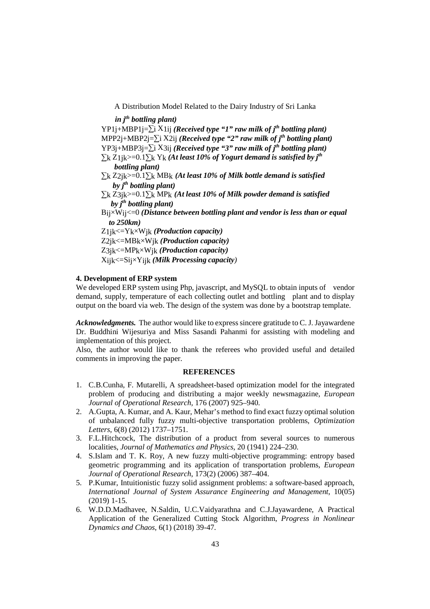A Distribution Model Related to the Dairy Industry of Sri Lanka

 *in jth bottling plant)* 

YP1j+MBP1j=∑i X1ij *(Received type "1" raw milk of jth bottling plant)* MPP2j+MBP2j=∑i X2ij *(Received type "2" raw milk of jth bottling plant)* YP3j+MBP3j=∑i X3ij *(Received type "3" raw milk of jth bottling plant)* ∑k Z1jk>=0.1∑k Yk *(At least 10% of Yogurt demand is satisfied by jth bottling plant)* ∑k Z2jk>=0.1∑k MBk *(At least 10% of Milk bottle demand is satisfied by jth bottling plant)* ∑k Z3jk>=0.1∑k MPk *(At least 10% of Milk powder demand is satisfied by jth bottling plant)* Bij×Wij<=0 *(Distance between bottling plant and vendor is less than or equal to 250km)* Z1jk<=Yk×Wjk *(Production capacity)*  Z2jk<=MBk×Wjk *(Production capacity)*  Z3jk<=MPk×Wjk *(Production capacity)* Xijk<=Sij×Yijk *(Milk Processing capacity)*

### **4. Development of ERP system**

We developed ERP system using Php, javascript, and MySQL to obtain inputs of vendor demand, supply, temperature of each collecting outlet and bottling plant and to display output on the board via web. The design of the system was done by a bootstrap template.

*Acknowledgments.* The author would like to express sincere gratitude to C. J. Jayawardene Dr. Buddhini Wijesuriya and Miss Sasandi Pahanmi for assisting with modeling and implementation of this project.

Also, the author would like to thank the referees who provided useful and detailed comments in improving the paper.

### **REFERENCES**

- 1. C.B.Cunha, F. Mutarelli, A spreadsheet-based optimization model for the integrated problem of producing and distributing a major weekly newsmagazine, *European Journal of Operational Research,* 176 (2007) 925–940.
- 2. A.Gupta, A. Kumar, and A. Kaur, Mehar's method to find exact fuzzy optimal solution of unbalanced fully fuzzy multi-objective transportation problems, *Optimization Letters*, 6(8) (2012) 1737–1751.
- 3. F.L.Hitchcock, The distribution of a product from several sources to numerous localities, *Journal of Mathematics and Physics*, 20 (1941) 224–230.
- 4. S.Islam and T. K. Roy, A new fuzzy multi-objective programming: entropy based geometric programming and its application of transportation problems, *European Journal of Operational Research*, 173(2) (2006) 387–404.
- 5. P.Kumar, Intuitionistic fuzzy solid assignment problems: a software-based approach, *International Journal of System Assurance Engineering and Management*, 10(05) (2019) 1-15.
- 6. W.D.D.Madhavee, N.Saldin, U.C.Vaidyarathna and C.J.Jayawardene, A Practical Application of the Generalized Cutting Stock Algorithm, *Progress in Nonlinear Dynamics and Chaos,* 6(1) (2018) 39-47.